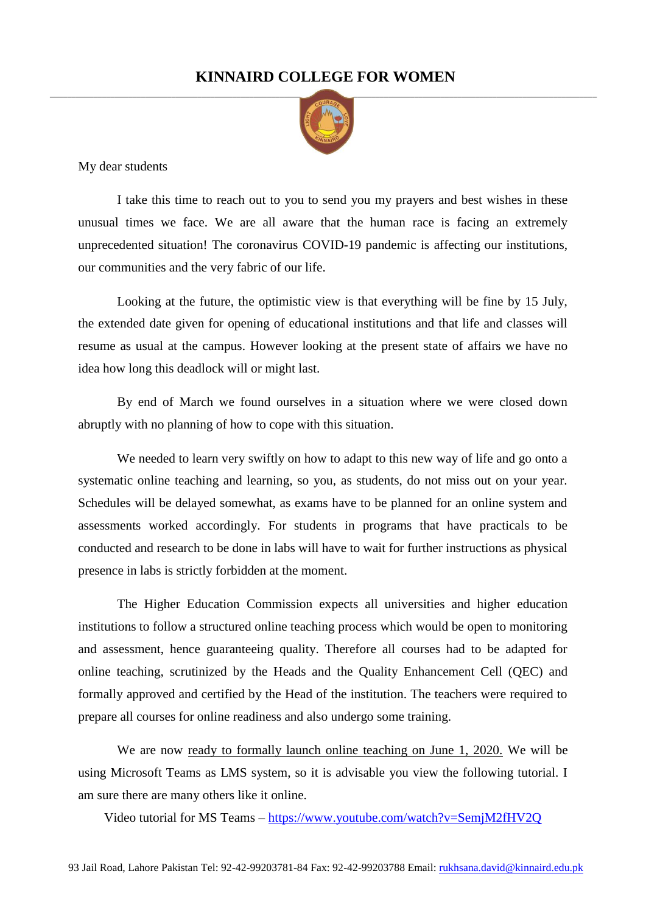## **KINNAIRD COLLEGE FOR WOMEN**



My dear students

I take this time to reach out to you to send you my prayers and best wishes in these unusual times we face. We are all aware that the human race is facing an extremely unprecedented situation! The coronavirus COVID-19 pandemic is affecting our institutions, our communities and the very fabric of our life.

Looking at the future, the optimistic view is that everything will be fine by 15 July, the extended date given for opening of educational institutions and that life and classes will resume as usual at the campus. However looking at the present state of affairs we have no idea how long this deadlock will or might last.

By end of March we found ourselves in a situation where we were closed down abruptly with no planning of how to cope with this situation.

We needed to learn very swiftly on how to adapt to this new way of life and go onto a systematic online teaching and learning, so you, as students, do not miss out on your year. Schedules will be delayed somewhat, as exams have to be planned for an online system and assessments worked accordingly. For students in programs that have practicals to be conducted and research to be done in labs will have to wait for further instructions as physical presence in labs is strictly forbidden at the moment.

The Higher Education Commission expects all universities and higher education institutions to follow a structured online teaching process which would be open to monitoring and assessment, hence guaranteeing quality. Therefore all courses had to be adapted for online teaching, scrutinized by the Heads and the Quality Enhancement Cell (QEC) and formally approved and certified by the Head of the institution. The teachers were required to prepare all courses for online readiness and also undergo some training.

We are now <u>ready to formally launch online teaching on June 1, 2020.</u> We will be using Microsoft Teams as LMS system, so it is advisable you view the following tutorial. I am sure there are many others like it online.

Video tutorial for MS Teams – <https://www.youtube.com/watch?v=SemjM2fHV2Q>